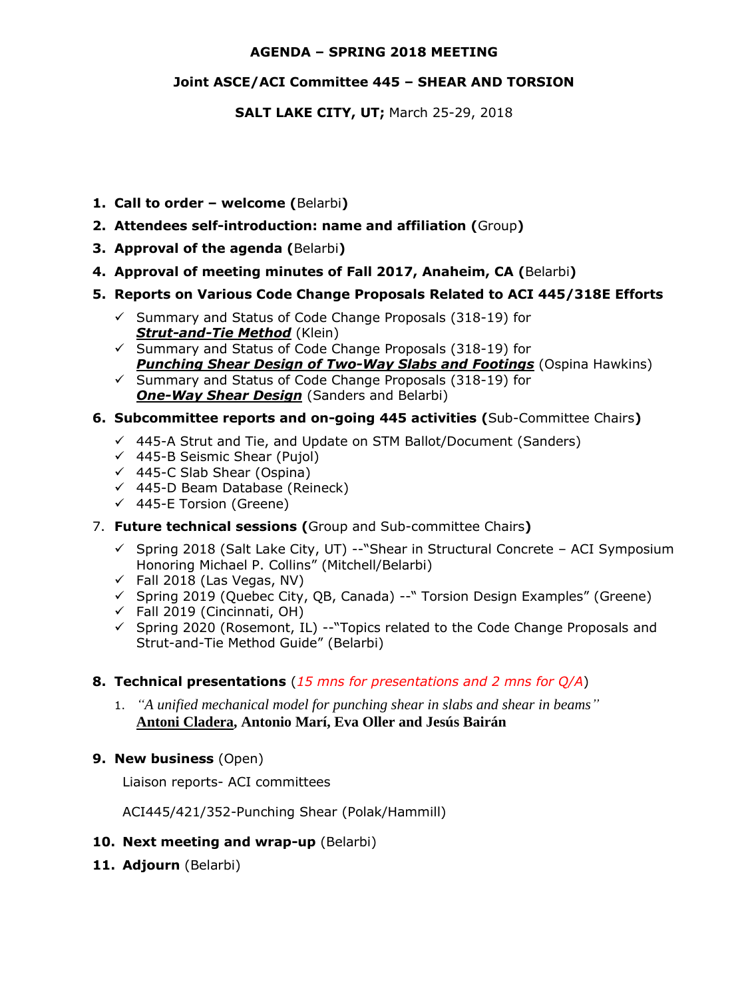#### **AGENDA – SPRING 2018 MEETING**

#### **Joint ASCE/ACI Committee 445 – SHEAR AND TORSION**

**SALT LAKE CITY, UT;** March 25-29, 2018

- **1. Call to order – welcome (**Belarbi**)**
- **2. Attendees self-introduction: name and affiliation (**Group**)**
- **3. Approval of the agenda (**Belarbi**)**
- **4. Approval of meeting minutes of Fall 2017, Anaheim, CA (**Belarbi**)**
- **5. Reports on Various Code Change Proposals Related to ACI 445/318E Efforts**
	- $\checkmark$  Summary and Status of Code Change Proposals (318-19) for *Strut-and-Tie Method* (Klein)
	- $\checkmark$  Summary and Status of Code Change Proposals (318-19) for *Punching Shear Design of Two-Way Slabs and Footings* (Ospina Hawkins)

 $\checkmark$  Summary and Status of Code Change Proposals (318-19) for **One-Way Shear Design** (Sanders and Belarbi)

#### **6. Subcommittee reports and on-going 445 activities (**Sub-Committee Chairs**)**

- $\checkmark$  445-A Strut and Tie, and Update on STM Ballot/Document (Sanders)
- $\checkmark$  445-B Seismic Shear (Pujol)
- $\checkmark$  445-C Slab Shear (Ospina)
- $(445-D)$  Beam Database (Reineck)
- $\checkmark$  445-E Torsion (Greene)
- 7. **Future technical sessions (**Group and Sub-committee Chairs**)** 
	- $\checkmark$  Spring 2018 (Salt Lake City, UT) -- "Shear in Structural Concrete ACI Symposium Honoring Michael P. Collins" (Mitchell/Belarbi)
	- $\checkmark$  Fall 2018 (Las Vegas, NV)
	- $\checkmark$  Spring 2019 (Ouebec City, OB, Canada) -- "Torsion Design Examples" (Greene)
	- $\checkmark$  Fall 2019 (Cincinnati, OH)
	- $\checkmark$  Spring 2020 (Rosemont, IL) --"Topics related to the Code Change Proposals and Strut-and-Tie Method Guide" (Belarbi)

#### **8. Technical presentations** (*15 mns for presentations and 2 mns for Q/A*)

- 1. *"A unified mechanical model for punching shear in slabs and shear in beams"* **Antoni Cladera, Antonio Marí, Eva Oller and Jesús Bairán**
- **9. New business** (Open)

Liaison reports- ACI committees

ACI445/421/352-Punching Shear (Polak/Hammill)

- **10. Next meeting and wrap-up** (Belarbi)
- 11. Adjourn (Belarbi)